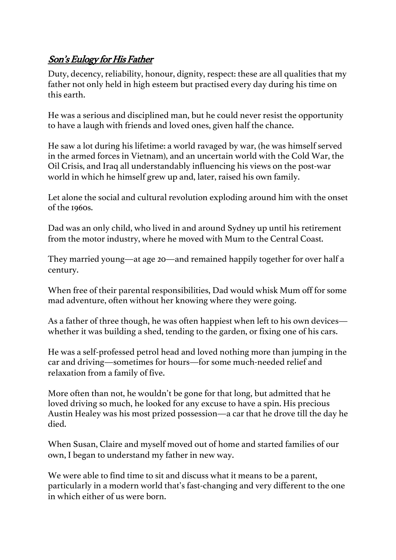## Son's Eulogy for His Father

Duty, decency, reliability, honour, dignity, respect: these are all qualities that my father not only held in high esteem but practised every day during his time on this earth.

He was a serious and disciplined man, but he could never resist the opportunity to have a laugh with friends and loved ones, given half the chance.

He saw a lot during his lifetime: a world ravaged by war, (he was himself served in the armed forces in Vietnam), and an uncertain world with the Cold War, the Oil Crisis, and Iraq all understandably influencing his views on the post-war world in which he himself grew up and, later, raised his own family.

Let alone the social and cultural revolution exploding around him with the onset of the 1960s.

Dad was an only child, who lived in and around Sydney up until his retirement from the motor industry, where he moved with Mum to the Central Coast.

They married young—at age 20—and remained happily together for over half a century.

When free of their parental responsibilities, Dad would whisk Mum off for some mad adventure, often without her knowing where they were going.

As a father of three though, he was often happiest when left to his own devices whether it was building a shed, tending to the garden, or fixing one of his cars.

He was a self-professed petrol head and loved nothing more than jumping in the car and driving—sometimes for hours—for some much-needed relief and relaxation from a family of five.

More often than not, he wouldn't be gone for that long, but admitted that he loved driving so much, he looked for any excuse to have a spin. His precious Austin Healey was his most prized possession—a car that he drove till the day he died.

When Susan, Claire and myself moved out of home and started families of our own, I began to understand my father in new way.

We were able to find time to sit and discuss what it means to be a parent, particularly in a modern world that's fast-changing and very different to the one in which either of us were born.